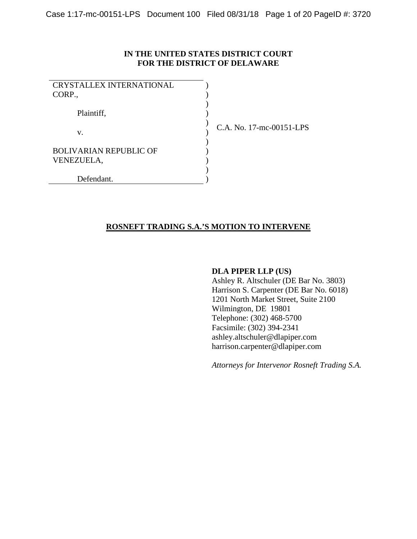## **IN THE UNITED STATES DISTRICT COURT FOR THE DISTRICT OF DELAWARE**

| <b>CRYSTALLEX INTERNATIONAL</b><br>CORP.,   |  |
|---------------------------------------------|--|
| Plaintiff,                                  |  |
| V.                                          |  |
| <b>BOLIVARIAN REPUBLIC OF</b><br>VENEZUELA, |  |
| Defendant.                                  |  |

C.A. No. 17-mc-00151-LPS

## **ROSNEFT TRADING S.A.'S MOTION TO INTERVENE**

### **DLA PIPER LLP (US)**

Ashley R. Altschuler (DE Bar No. 3803) Harrison S. Carpenter (DE Bar No. 6018) 1201 North Market Street, Suite 2100 Wilmington, DE 19801 Telephone: (302) 468-5700 Facsimile: (302) 394-2341 ashley.altschuler@dlapiper.com harrison.carpenter@dlapiper.com

*Attorneys for Intervenor Rosneft Trading S.A.*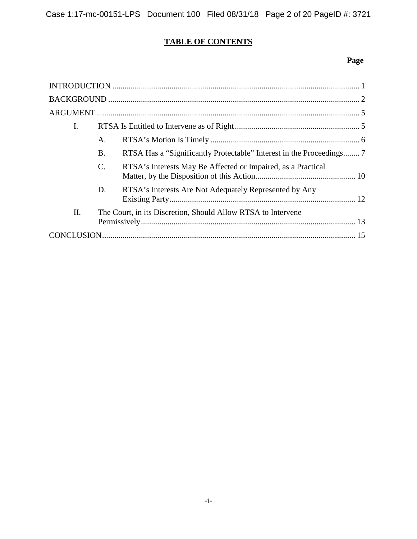# **TABLE OF CONTENTS**

## **Page**

| I. |                 |                                                              |  |
|----|-----------------|--------------------------------------------------------------|--|
|    | A.              |                                                              |  |
|    | Β.              |                                                              |  |
|    | $\mathcal{C}$ . | RTSA's Interests May Be Affected or Impaired, as a Practical |  |
|    | D.              | RTSA's Interests Are Not Adequately Represented by Any       |  |
| Π. |                 | The Court, in its Discretion, Should Allow RTSA to Intervene |  |
|    |                 |                                                              |  |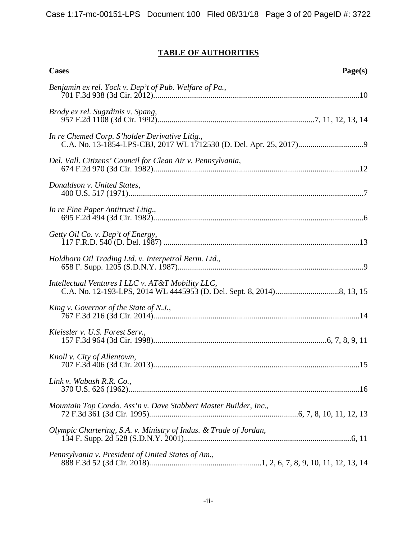## **TABLE OF AUTHORITIES**

| <b>Cases</b><br>Page(s)                                           |
|-------------------------------------------------------------------|
| Benjamin ex rel. Yock v. Dep't of Pub. Welfare of Pa.,            |
| Brody ex rel. Sugzdinis v. Spang,                                 |
| In re Chemed Corp. S'holder Derivative Litig.,                    |
| Del. Vall. Citizens' Council for Clean Air v. Pennsylvania,       |
| Donaldson v. United States,                                       |
| In re Fine Paper Antitrust Litig.,                                |
| Getty Oil Co. v. Dep't of Energy,                                 |
| Holdborn Oil Trading Ltd. v. Interpetrol Berm. Ltd.,              |
| Intellectual Ventures I LLC v. AT&T Mobility LLC,                 |
| King v. Governor of the State of N.J.,                            |
| Kleissler v. U.S. Forest Serv.,                                   |
| Knoll v. City of Allentown,                                       |
| Link v. Wabash R.R. Co.,                                          |
| Mountain Top Condo. Ass'n v. Dave Stabbert Master Builder, Inc.,  |
| Olympic Chartering, S.A. v. Ministry of Indus. & Trade of Jordan, |
| Pennsylvania v. President of United States of Am.,                |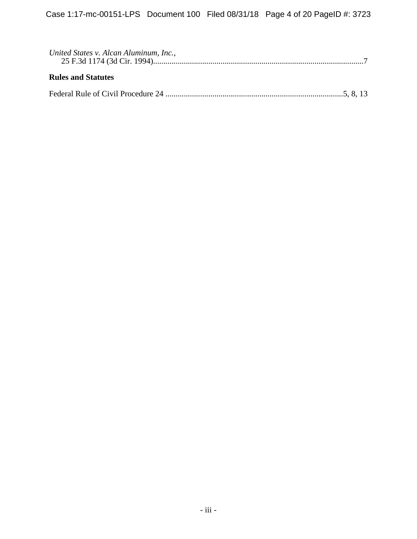| United States v. Alcan Aluminum, Inc., |  |
|----------------------------------------|--|
| <b>Rules and Statutes</b>              |  |
|                                        |  |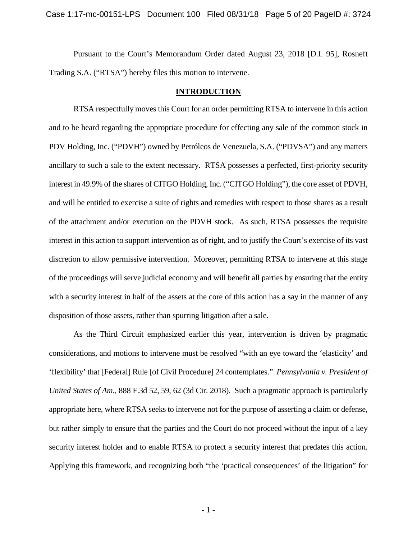Pursuant to the Court's Memorandum Order dated August 23, 2018 [D.I. 95], Rosneft Trading S.A. ("RTSA") hereby files this motion to intervene.

## **INTRODUCTION**

RTSA respectfully moves this Court for an order permitting RTSA to intervene in this action and to be heard regarding the appropriate procedure for effecting any sale of the common stock in PDV Holding, Inc. ("PDVH") owned by Petróleos de Venezuela, S.A. ("PDVSA") and any matters ancillary to such a sale to the extent necessary. RTSA possesses a perfected, first-priority security interest in 49.9% of the shares of CITGO Holding, Inc. ("CITGO Holding"), the core asset of PDVH, and will be entitled to exercise a suite of rights and remedies with respect to those shares as a result of the attachment and/or execution on the PDVH stock. As such, RTSA possesses the requisite interest in this action to support intervention as of right, and to justify the Court's exercise of its vast discretion to allow permissive intervention. Moreover, permitting RTSA to intervene at this stage of the proceedings will serve judicial economy and will benefit all parties by ensuring that the entity with a security interest in half of the assets at the core of this action has a say in the manner of any disposition of those assets, rather than spurring litigation after a sale.

As the Third Circuit emphasized earlier this year, intervention is driven by pragmatic considerations, and motions to intervene must be resolved "with an eye toward the 'elasticity' and 'flexibility' that [Federal] Rule [of Civil Procedure] 24 contemplates." *Pennsylvania v. President of United States of Am.*, 888 F.3d 52, 59, 62 (3d Cir. 2018). Such a pragmatic approach is particularly appropriate here, where RTSA seeks to intervene not for the purpose of asserting a claim or defense, but rather simply to ensure that the parties and the Court do not proceed without the input of a key security interest holder and to enable RTSA to protect a security interest that predates this action. Applying this framework, and recognizing both "the 'practical consequences' of the litigation" for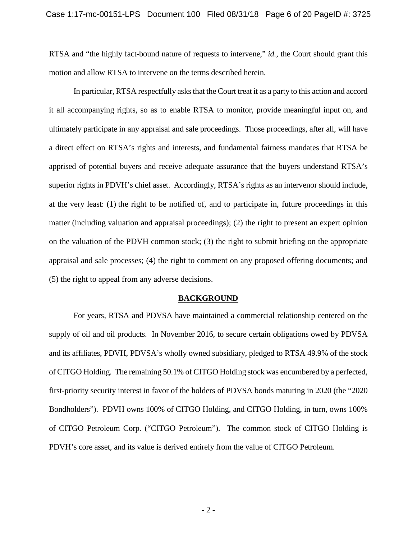RTSA and "the highly fact-bound nature of requests to intervene," *id.*, the Court should grant this motion and allow RTSA to intervene on the terms described herein.

In particular, RTSA respectfully asks that the Court treat it as a party to this action and accord it all accompanying rights, so as to enable RTSA to monitor, provide meaningful input on, and ultimately participate in any appraisal and sale proceedings. Those proceedings, after all, will have a direct effect on RTSA's rights and interests, and fundamental fairness mandates that RTSA be apprised of potential buyers and receive adequate assurance that the buyers understand RTSA's superior rights in PDVH's chief asset. Accordingly, RTSA's rights as an intervenor should include, at the very least: (1) the right to be notified of, and to participate in, future proceedings in this matter (including valuation and appraisal proceedings); (2) the right to present an expert opinion on the valuation of the PDVH common stock; (3) the right to submit briefing on the appropriate appraisal and sale processes; (4) the right to comment on any proposed offering documents; and (5) the right to appeal from any adverse decisions.

#### **BACKGROUND**

For years, RTSA and PDVSA have maintained a commercial relationship centered on the supply of oil and oil products. In November 2016, to secure certain obligations owed by PDVSA and its affiliates, PDVH, PDVSA's wholly owned subsidiary, pledged to RTSA 49.9% of the stock of CITGO Holding. The remaining 50.1% of CITGO Holding stock was encumbered by a perfected, first-priority security interest in favor of the holders of PDVSA bonds maturing in 2020 (the "2020 Bondholders"). PDVH owns 100% of CITGO Holding, and CITGO Holding, in turn, owns 100% of CITGO Petroleum Corp. ("CITGO Petroleum"). The common stock of CITGO Holding is PDVH's core asset, and its value is derived entirely from the value of CITGO Petroleum.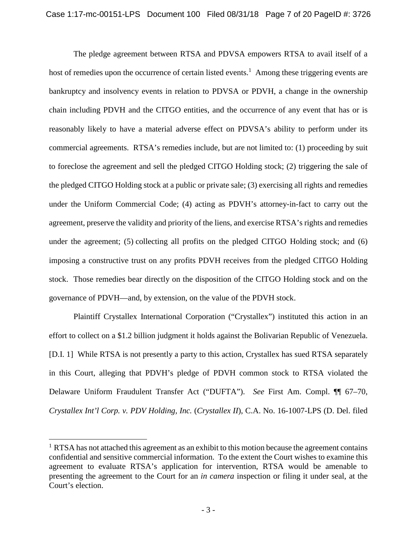The pledge agreement between RTSA and PDVSA empowers RTSA to avail itself of a host of remedies upon the occurrence of certain listed events.<sup>1</sup> Among these triggering events are bankruptcy and insolvency events in relation to PDVSA or PDVH, a change in the ownership chain including PDVH and the CITGO entities, and the occurrence of any event that has or is reasonably likely to have a material adverse effect on PDVSA's ability to perform under its commercial agreements. RTSA's remedies include, but are not limited to: (1) proceeding by suit to foreclose the agreement and sell the pledged CITGO Holding stock; (2) triggering the sale of the pledged CITGO Holding stock at a public or private sale; (3) exercising all rights and remedies under the Uniform Commercial Code; (4) acting as PDVH's attorney-in-fact to carry out the agreement, preserve the validity and priority of the liens, and exercise RTSA's rights and remedies under the agreement; (5) collecting all profits on the pledged CITGO Holding stock; and (6) imposing a constructive trust on any profits PDVH receives from the pledged CITGO Holding stock. Those remedies bear directly on the disposition of the CITGO Holding stock and on the governance of PDVH—and, by extension, on the value of the PDVH stock.

Plaintiff Crystallex International Corporation ("Crystallex") instituted this action in an effort to collect on a \$1.2 billion judgment it holds against the Bolivarian Republic of Venezuela. [D.I. 1] While RTSA is not presently a party to this action, Crystallex has sued RTSA separately in this Court, alleging that PDVH's pledge of PDVH common stock to RTSA violated the Delaware Uniform Fraudulent Transfer Act ("DUFTA"). *See* First Am. Compl. ¶¶ 67–70, *Crystallex Int'l Corp. v. PDV Holding, Inc.* (*Crystallex II*), C.A. No. 16-1007-LPS (D. Del. filed

<sup>&</sup>lt;sup>1</sup> RTSA has not attached this agreement as an exhibit to this motion because the agreement contains confidential and sensitive commercial information. To the extent the Court wishes to examine this agreement to evaluate RTSA's application for intervention, RTSA would be amenable to presenting the agreement to the Court for an *in camera* inspection or filing it under seal, at the Court's election.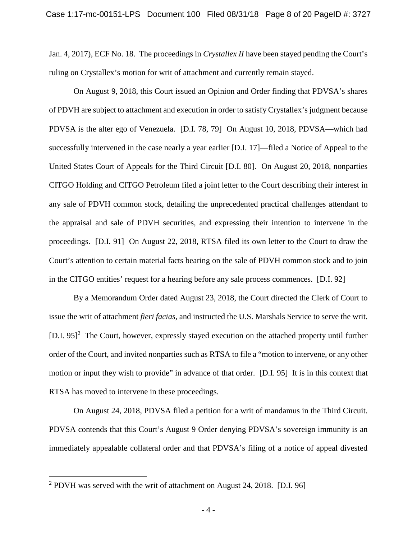Jan. 4, 2017), ECF No. 18. The proceedings in *Crystallex II* have been stayed pending the Court's ruling on Crystallex's motion for writ of attachment and currently remain stayed.

On August 9, 2018, this Court issued an Opinion and Order finding that PDVSA's shares of PDVH are subject to attachment and execution in order to satisfy Crystallex's judgment because PDVSA is the alter ego of Venezuela. [D.I. 78, 79] On August 10, 2018, PDVSA—which had successfully intervened in the case nearly a year earlier [D.I. 17]—filed a Notice of Appeal to the United States Court of Appeals for the Third Circuit [D.I. 80]. On August 20, 2018, nonparties CITGO Holding and CITGO Petroleum filed a joint letter to the Court describing their interest in any sale of PDVH common stock, detailing the unprecedented practical challenges attendant to the appraisal and sale of PDVH securities, and expressing their intention to intervene in the proceedings. [D.I. 91] On August 22, 2018, RTSA filed its own letter to the Court to draw the Court's attention to certain material facts bearing on the sale of PDVH common stock and to join in the CITGO entities' request for a hearing before any sale process commences. [D.I. 92]

By a Memorandum Order dated August 23, 2018, the Court directed the Clerk of Court to issue the writ of attachment *fieri facias*, and instructed the U.S. Marshals Service to serve the writ. [D.I. 95]<sup>2</sup> The Court, however, expressly stayed execution on the attached property until further order of the Court, and invited nonparties such as RTSA to file a "motion to intervene, or any other motion or input they wish to provide" in advance of that order. [D.I. 95] It is in this context that RTSA has moved to intervene in these proceedings.

On August 24, 2018, PDVSA filed a petition for a writ of mandamus in the Third Circuit. PDVSA contends that this Court's August 9 Order denying PDVSA's sovereign immunity is an immediately appealable collateral order and that PDVSA's filing of a notice of appeal divested

<sup>&</sup>lt;sup>2</sup> PDVH was served with the writ of attachment on August 24, 2018. [D.I. 96]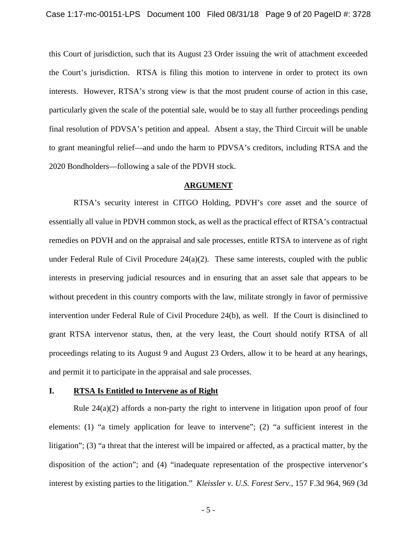this Court of jurisdiction, such that its August 23 Order issuing the writ of attachment exceeded the Court's jurisdiction. RTSA is filing this motion to intervene in order to protect its own interests. However, RTSA's strong view is that the most prudent course of action in this case, particularly given the scale of the potential sale, would be to stay all further proceedings pending final resolution of PDVSA's petition and appeal. Absent a stay, the Third Circuit will be unable to grant meaningful relief—and undo the harm to PDVSA's creditors, including RTSA and the 2020 Bondholders—following a sale of the PDVH stock.

#### **ARGUMENT**

RTSA's security interest in CITGO Holding, PDVH's core asset and the source of essentially all value in PDVH common stock, as well as the practical effect of RTSA's contractual remedies on PDVH and on the appraisal and sale processes, entitle RTSA to intervene as of right under Federal Rule of Civil Procedure  $24(a)(2)$ . These same interests, coupled with the public interests in preserving judicial resources and in ensuring that an asset sale that appears to be without precedent in this country comports with the law, militate strongly in favor of permissive intervention under Federal Rule of Civil Procedure 24(b), as well. If the Court is disinclined to grant RTSA intervenor status, then, at the very least, the Court should notify RTSA of all proceedings relating to its August 9 and August 23 Orders, allow it to be heard at any hearings, and permit it to participate in the appraisal and sale processes.

### **I. RTSA Is Entitled to Intervene as of Right**

Rule  $24(a)(2)$  affords a non-party the right to intervene in litigation upon proof of four elements: (1) "a timely application for leave to intervene"; (2) "a sufficient interest in the litigation"; (3) "a threat that the interest will be impaired or affected, as a practical matter, by the disposition of the action"; and (4) "inadequate representation of the prospective intervenor's interest by existing parties to the litigation." *Kleissler v. U.S. Forest Serv.*, 157 F.3d 964, 969 (3d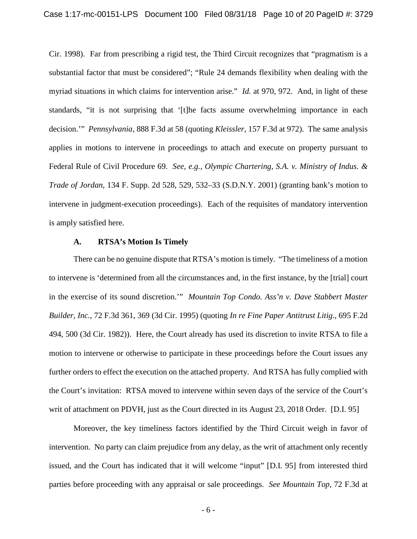Cir. 1998). Far from prescribing a rigid test, the Third Circuit recognizes that "pragmatism is a substantial factor that must be considered"; "Rule 24 demands flexibility when dealing with the myriad situations in which claims for intervention arise." *Id.* at 970, 972. And, in light of these standards, "it is not surprising that '[t]he facts assume overwhelming importance in each decision.'" *Pennsylvania*, 888 F.3d at 58 (quoting *Kleissler*, 157 F.3d at 972). The same analysis applies in motions to intervene in proceedings to attach and execute on property pursuant to Federal Rule of Civil Procedure 69. *See, e.g.*, *Olympic Chartering, S.A. v. Ministry of Indus. & Trade of Jordan*, 134 F. Supp. 2d 528, 529, 532–33 (S.D.N.Y. 2001) (granting bank's motion to intervene in judgment-execution proceedings). Each of the requisites of mandatory intervention is amply satisfied here.

#### **A. RTSA's Motion Is Timely**

There can be no genuine dispute that RTSA's motion is timely. "The timeliness of a motion to intervene is 'determined from all the circumstances and, in the first instance, by the [trial] court in the exercise of its sound discretion.'" *Mountain Top Condo. Ass'n v. Dave Stabbert Master Builder, Inc.*, 72 F.3d 361, 369 (3d Cir. 1995) (quoting *In re Fine Paper Antitrust Litig*., 695 F.2d 494, 500 (3d Cir. 1982)). Here, the Court already has used its discretion to invite RTSA to file a motion to intervene or otherwise to participate in these proceedings before the Court issues any further orders to effect the execution on the attached property. And RTSA has fully complied with the Court's invitation: RTSA moved to intervene within seven days of the service of the Court's writ of attachment on PDVH, just as the Court directed in its August 23, 2018 Order. [D.I. 95]

Moreover, the key timeliness factors identified by the Third Circuit weigh in favor of intervention. No party can claim prejudice from any delay, as the writ of attachment only recently issued, and the Court has indicated that it will welcome "input" [D.I. 95] from interested third parties before proceeding with any appraisal or sale proceedings. *See Mountain Top*, 72 F.3d at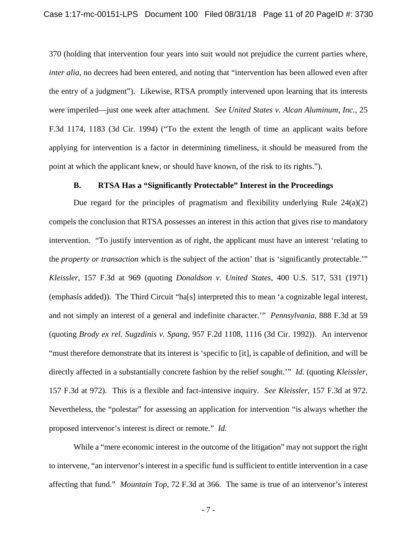370 (holding that intervention four years into suit would not prejudice the current parties where, *inter alia*, no decrees had been entered, and noting that "intervention has been allowed even after the entry of a judgment"). Likewise, RTSA promptly intervened upon learning that its interests were imperiled—just one week after attachment. *See United States v. Alcan Aluminum, Inc.*, 25 F.3d 1174, 1183 (3d Cir. 1994) ("To the extent the length of time an applicant waits before applying for intervention is a factor in determining timeliness, it should be measured from the point at which the applicant knew, or should have known, of the risk to its rights.").

### **B. RTSA Has a "Significantly Protectable" Interest in the Proceedings**

Due regard for the principles of pragmatism and flexibility underlying Rule  $24(a)(2)$ compels the conclusion that RTSA possesses an interest in this action that gives rise to mandatory intervention. "To justify intervention as of right, the applicant must have an interest 'relating to the *property or transaction* which is the subject of the action' that is 'significantly protectable.'" *Kleissler*, 157 F.3d at 969 (quoting *Donaldson v. United States*, 400 U.S. 517, 531 (1971) (emphasis added)). The Third Circuit "ha[s] interpreted this to mean 'a cognizable legal interest, and not simply an interest of a general and indefinite character.'" *Pennsylvania*, 888 F.3d at 59 (quoting *Brody ex rel. Sugzdinis v. Spang*, 957 F.2d 1108, 1116 (3d Cir. 1992)). An intervenor "must therefore demonstrate that its interest is 'specific to [it], is capable of definition, and will be directly affected in a substantially concrete fashion by the relief sought.'" *Id.* (quoting *Kleissler*, 157 F.3d at 972). This is a flexible and fact-intensive inquiry. *See Kleissler*, 157 F.3d at 972. Nevertheless, the "polestar" for assessing an application for intervention "is always whether the proposed intervenor's interest is direct or remote." *Id.*

While a "mere economic interest in the outcome of the litigation" may not support the right to intervene, "an intervenor's interest in a specific fund is sufficient to entitle intervention in a case affecting that fund." *Mountain Top*, 72 F.3d at 366. The same is true of an intervenor's interest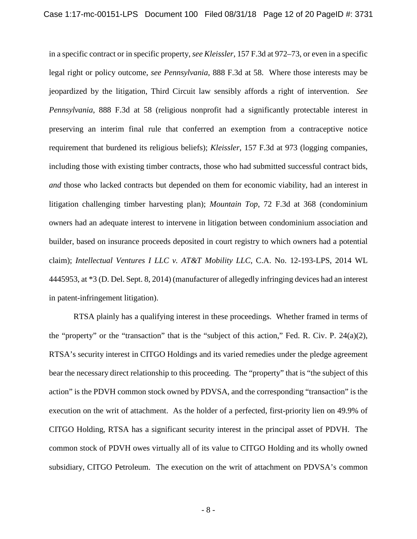in a specific contract or in specific property, *see Kleissler*, 157 F.3d at 972–73, or even in a specific legal right or policy outcome, *see Pennsylvania*, 888 F.3d at 58. Where those interests may be jeopardized by the litigation, Third Circuit law sensibly affords a right of intervention. *See Pennsylvania*, 888 F.3d at 58 (religious nonprofit had a significantly protectable interest in preserving an interim final rule that conferred an exemption from a contraceptive notice requirement that burdened its religious beliefs); *Kleissler*, 157 F.3d at 973 (logging companies, including those with existing timber contracts, those who had submitted successful contract bids, *and* those who lacked contracts but depended on them for economic viability, had an interest in litigation challenging timber harvesting plan); *Mountain Top*, 72 F.3d at 368 (condominium owners had an adequate interest to intervene in litigation between condominium association and builder, based on insurance proceeds deposited in court registry to which owners had a potential claim); *Intellectual Ventures I LLC v. AT&T Mobility LLC*, C.A. No. 12-193-LPS, 2014 WL 4445953, at \*3 (D. Del. Sept. 8, 2014) (manufacturer of allegedly infringing devices had an interest in patent-infringement litigation).

RTSA plainly has a qualifying interest in these proceedings. Whether framed in terms of the "property" or the "transaction" that is the "subject of this action," Fed. R. Civ. P. 24(a)(2), RTSA's security interest in CITGO Holdings and its varied remedies under the pledge agreement bear the necessary direct relationship to this proceeding. The "property" that is "the subject of this action" is the PDVH common stock owned by PDVSA, and the corresponding "transaction" is the execution on the writ of attachment. As the holder of a perfected, first-priority lien on 49.9% of CITGO Holding, RTSA has a significant security interest in the principal asset of PDVH. The common stock of PDVH owes virtually all of its value to CITGO Holding and its wholly owned subsidiary, CITGO Petroleum. The execution on the writ of attachment on PDVSA's common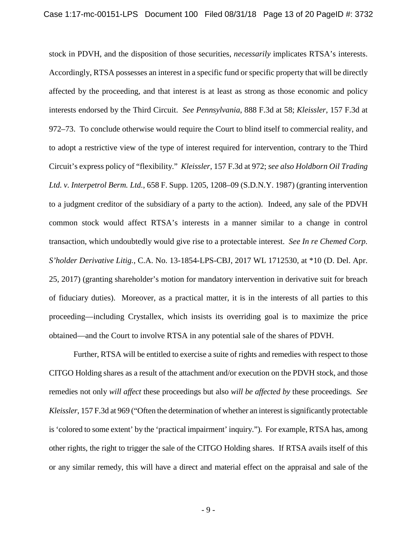stock in PDVH, and the disposition of those securities, *necessarily* implicates RTSA's interests. Accordingly, RTSA possesses an interest in a specific fund or specific property that will be directly affected by the proceeding, and that interest is at least as strong as those economic and policy interests endorsed by the Third Circuit. *See Pennsylvania*, 888 F.3d at 58; *Kleissler*, 157 F.3d at 972–73. To conclude otherwise would require the Court to blind itself to commercial reality, and to adopt a restrictive view of the type of interest required for intervention, contrary to the Third Circuit's express policy of "flexibility." *Kleissler*, 157 F.3d at 972; *see also Holdborn Oil Trading Ltd. v. Interpetrol Berm. Ltd.*, 658 F. Supp. 1205, 1208–09 (S.D.N.Y. 1987) (granting intervention to a judgment creditor of the subsidiary of a party to the action). Indeed, any sale of the PDVH common stock would affect RTSA's interests in a manner similar to a change in control transaction, which undoubtedly would give rise to a protectable interest. *See In re Chemed Corp. S'holder Derivative Litig.*, C.A. No. 13-1854-LPS-CBJ, 2017 WL 1712530, at \*10 (D. Del. Apr. 25, 2017) (granting shareholder's motion for mandatory intervention in derivative suit for breach of fiduciary duties). Moreover, as a practical matter, it is in the interests of all parties to this proceeding—including Crystallex, which insists its overriding goal is to maximize the price obtained—and the Court to involve RTSA in any potential sale of the shares of PDVH.

Further, RTSA will be entitled to exercise a suite of rights and remedies with respect to those CITGO Holding shares as a result of the attachment and/or execution on the PDVH stock, and those remedies not only *will affect* these proceedings but also *will be affected by* these proceedings. *See Kleissler*, 157 F.3d at 969 ("Often the determination of whether an interest is significantly protectable is 'colored to some extent' by the 'practical impairment' inquiry."). For example, RTSA has, among other rights, the right to trigger the sale of the CITGO Holding shares. If RTSA avails itself of this or any similar remedy, this will have a direct and material effect on the appraisal and sale of the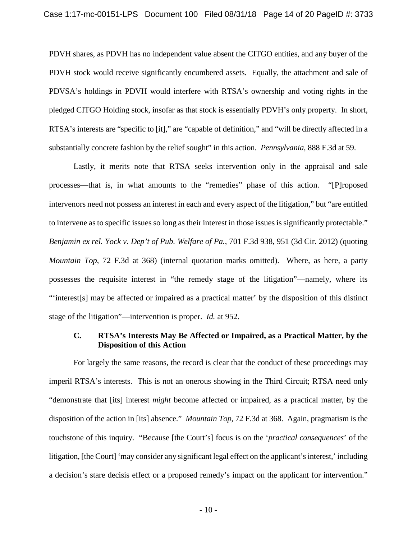PDVH shares, as PDVH has no independent value absent the CITGO entities, and any buyer of the PDVH stock would receive significantly encumbered assets. Equally, the attachment and sale of PDVSA's holdings in PDVH would interfere with RTSA's ownership and voting rights in the pledged CITGO Holding stock, insofar as that stock is essentially PDVH's only property. In short, RTSA's interests are "specific to [it]," are "capable of definition," and "will be directly affected in a substantially concrete fashion by the relief sought" in this action. *Pennsylvania*, 888 F.3d at 59.

Lastly, it merits note that RTSA seeks intervention only in the appraisal and sale processes—that is, in what amounts to the "remedies" phase of this action. "[P]roposed intervenors need not possess an interest in each and every aspect of the litigation," but "are entitled to intervene as to specific issues so long as their interest in those issues is significantly protectable." *Benjamin ex rel. Yock v. Dep't of Pub. Welfare of Pa.*, 701 F.3d 938, 951 (3d Cir. 2012) (quoting *Mountain Top*, 72 F.3d at 368) (internal quotation marks omitted). Where, as here, a party possesses the requisite interest in "the remedy stage of the litigation"—namely, where its "'interest[s] may be affected or impaired as a practical matter' by the disposition of this distinct stage of the litigation"—intervention is proper. *Id.* at 952.

#### **C. RTSA's Interests May Be Affected or Impaired, as a Practical Matter, by the Disposition of this Action**

For largely the same reasons, the record is clear that the conduct of these proceedings may imperil RTSA's interests. This is not an onerous showing in the Third Circuit; RTSA need only "demonstrate that [its] interest *might* become affected or impaired, as a practical matter, by the disposition of the action in [its] absence." *Mountain Top*, 72 F.3d at 368. Again, pragmatism is the touchstone of this inquiry. "Because [the Court's] focus is on the '*practical consequences*' of the litigation, [the Court] 'may consider any significant legal effect on the applicant's interest,' including a decision's stare decisis effect or a proposed remedy's impact on the applicant for intervention."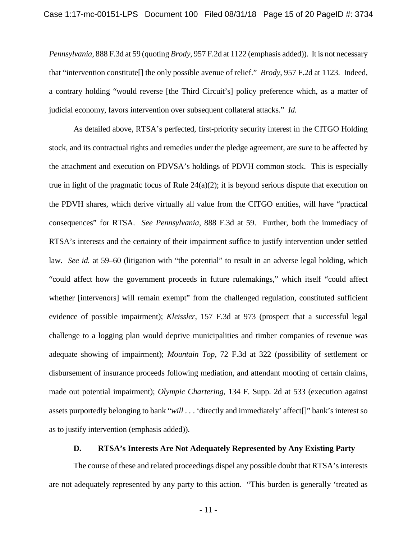*Pennsylvania*, 888 F.3d at 59 (quoting *Brody*, 957 F.2d at 1122 (emphasis added)). It is not necessary that "intervention constitute[] the only possible avenue of relief." *Brody*, 957 F.2d at 1123. Indeed, a contrary holding "would reverse [the Third Circuit's] policy preference which, as a matter of judicial economy, favors intervention over subsequent collateral attacks." *Id.*

As detailed above, RTSA's perfected, first-priority security interest in the CITGO Holding stock, and its contractual rights and remedies under the pledge agreement, are *sure* to be affected by the attachment and execution on PDVSA's holdings of PDVH common stock. This is especially true in light of the pragmatic focus of Rule 24(a)(2); it is beyond serious dispute that execution on the PDVH shares, which derive virtually all value from the CITGO entities, will have "practical consequences" for RTSA. *See Pennsylvania*, 888 F.3d at 59. Further, both the immediacy of RTSA's interests and the certainty of their impairment suffice to justify intervention under settled law. *See id.* at 59–60 (litigation with "the potential" to result in an adverse legal holding, which "could affect how the government proceeds in future rulemakings," which itself "could affect whether [intervenors] will remain exempt" from the challenged regulation, constituted sufficient evidence of possible impairment); *Kleissler*, 157 F.3d at 973 (prospect that a successful legal challenge to a logging plan would deprive municipalities and timber companies of revenue was adequate showing of impairment); *Mountain Top*, 72 F.3d at 322 (possibility of settlement or disbursement of insurance proceeds following mediation, and attendant mooting of certain claims, made out potential impairment); *Olympic Chartering*, 134 F. Supp. 2d at 533 (execution against assets purportedly belonging to bank "*will* . . . 'directly and immediately' affect[]" bank's interest so as to justify intervention (emphasis added)).

## **D. RTSA's Interests Are Not Adequately Represented by Any Existing Party**

The course of these and related proceedings dispel any possible doubt that RTSA's interests are not adequately represented by any party to this action. "This burden is generally 'treated as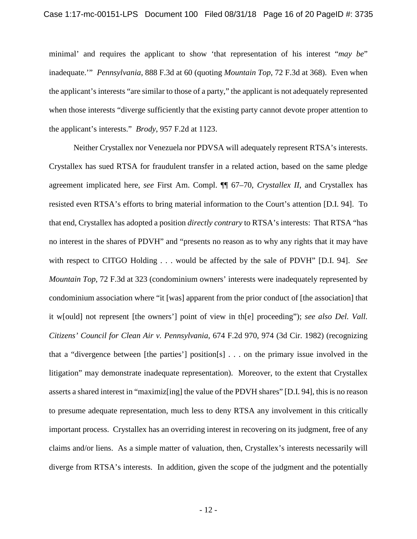minimal' and requires the applicant to show 'that representation of his interest "*may be*" inadequate.'" *Pennsylvania*, 888 F.3d at 60 (quoting *Mountain Top*, 72 F.3d at 368). Even when the applicant's interests "are similar to those of a party," the applicant is not adequately represented when those interests "diverge sufficiently that the existing party cannot devote proper attention to the applicant's interests." *Brody*, 957 F.2d at 1123.

Neither Crystallex nor Venezuela nor PDVSA will adequately represent RTSA's interests. Crystallex has sued RTSA for fraudulent transfer in a related action, based on the same pledge agreement implicated here, *see* First Am. Compl. ¶¶ 67–70, *Crystallex II*, and Crystallex has resisted even RTSA's efforts to bring material information to the Court's attention [D.I. 94]. To that end, Crystallex has adopted a position *directly contrary* to RTSA's interests: That RTSA "has no interest in the shares of PDVH" and "presents no reason as to why any rights that it may have with respect to CITGO Holding . . . would be affected by the sale of PDVH" [D.I. 94]. *See Mountain Top*, 72 F.3d at 323 (condominium owners' interests were inadequately represented by condominium association where "it [was] apparent from the prior conduct of [the association] that it w[ould] not represent [the owners'] point of view in th[e] proceeding"); *see also Del. Vall. Citizens' Council for Clean Air v. Pennsylvania*, 674 F.2d 970, 974 (3d Cir. 1982) (recognizing that a "divergence between [the parties'] position[s] . . . on the primary issue involved in the litigation" may demonstrate inadequate representation). Moreover, to the extent that Crystallex asserts a shared interest in "maximiz[ing] the value of the PDVH shares" [D.I. 94], this is no reason to presume adequate representation, much less to deny RTSA any involvement in this critically important process. Crystallex has an overriding interest in recovering on its judgment, free of any claims and/or liens. As a simple matter of valuation, then, Crystallex's interests necessarily will diverge from RTSA's interests. In addition, given the scope of the judgment and the potentially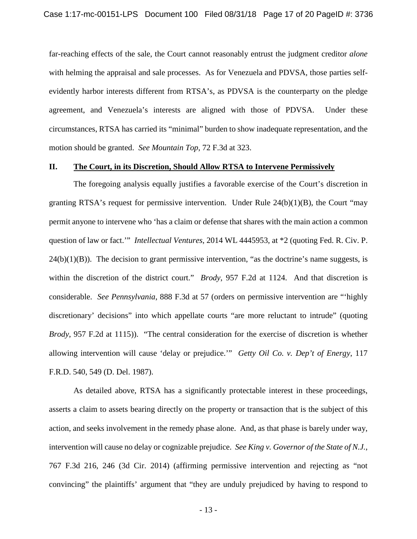far-reaching effects of the sale, the Court cannot reasonably entrust the judgment creditor *alone*  with helming the appraisal and sale processes. As for Venezuela and PDVSA, those parties selfevidently harbor interests different from RTSA's, as PDVSA is the counterparty on the pledge agreement, and Venezuela's interests are aligned with those of PDVSA. Under these circumstances, RTSA has carried its "minimal" burden to show inadequate representation, and the motion should be granted. *See Mountain Top*, 72 F.3d at 323.

#### **II. The Court, in its Discretion, Should Allow RTSA to Intervene Permissively**

The foregoing analysis equally justifies a favorable exercise of the Court's discretion in granting RTSA's request for permissive intervention. Under Rule 24(b)(1)(B), the Court "may permit anyone to intervene who 'has a claim or defense that shares with the main action a common question of law or fact.'" *Intellectual Ventures*, 2014 WL 4445953, at \*2 (quoting Fed. R. Civ. P.  $24(b)(1)(B)$ ). The decision to grant permissive intervention, "as the doctrine's name suggests, is within the discretion of the district court." *Brody*, 957 F.2d at 1124. And that discretion is considerable. *See Pennsylvania*, 888 F.3d at 57 (orders on permissive intervention are "'highly discretionary' decisions" into which appellate courts "are more reluctant to intrude" (quoting *Brody*, 957 F.2d at 1115)). "The central consideration for the exercise of discretion is whether allowing intervention will cause 'delay or prejudice.'" *Getty Oil Co. v. Dep't of Energy*, 117 F.R.D. 540, 549 (D. Del. 1987).

As detailed above, RTSA has a significantly protectable interest in these proceedings, asserts a claim to assets bearing directly on the property or transaction that is the subject of this action, and seeks involvement in the remedy phase alone. And, as that phase is barely under way, intervention will cause no delay or cognizable prejudice. *See King v. Governor of the State of N.J.*, 767 F.3d 216, 246 (3d Cir. 2014) (affirming permissive intervention and rejecting as "not convincing" the plaintiffs' argument that "they are unduly prejudiced by having to respond to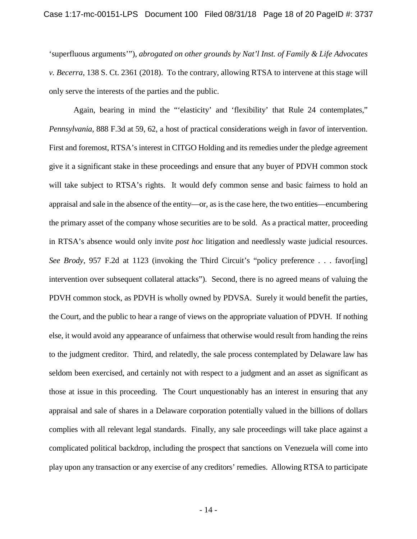'superfluous arguments'"), *abrogated on other grounds by Nat'l Inst. of Family & Life Advocates v. Becerra*, 138 S. Ct. 2361 (2018). To the contrary, allowing RTSA to intervene at this stage will only serve the interests of the parties and the public.

Again, bearing in mind the "'elasticity' and 'flexibility' that Rule 24 contemplates," *Pennsylvania*, 888 F.3d at 59, 62, a host of practical considerations weigh in favor of intervention. First and foremost, RTSA's interest in CITGO Holding and its remedies under the pledge agreement give it a significant stake in these proceedings and ensure that any buyer of PDVH common stock will take subject to RTSA's rights. It would defy common sense and basic fairness to hold an appraisal and sale in the absence of the entity—or, as is the case here, the two entities—encumbering the primary asset of the company whose securities are to be sold. As a practical matter, proceeding in RTSA's absence would only invite *post hoc* litigation and needlessly waste judicial resources. *See Brody*, 957 F.2d at 1123 (invoking the Third Circuit's "policy preference . . . favor[ing] intervention over subsequent collateral attacks"). Second, there is no agreed means of valuing the PDVH common stock, as PDVH is wholly owned by PDVSA. Surely it would benefit the parties, the Court, and the public to hear a range of views on the appropriate valuation of PDVH. If nothing else, it would avoid any appearance of unfairness that otherwise would result from handing the reins to the judgment creditor. Third, and relatedly, the sale process contemplated by Delaware law has seldom been exercised, and certainly not with respect to a judgment and an asset as significant as those at issue in this proceeding. The Court unquestionably has an interest in ensuring that any appraisal and sale of shares in a Delaware corporation potentially valued in the billions of dollars complies with all relevant legal standards. Finally, any sale proceedings will take place against a complicated political backdrop, including the prospect that sanctions on Venezuela will come into play upon any transaction or any exercise of any creditors' remedies. Allowing RTSA to participate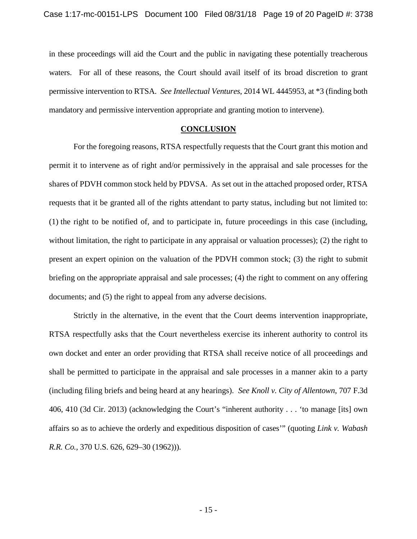in these proceedings will aid the Court and the public in navigating these potentially treacherous waters. For all of these reasons, the Court should avail itself of its broad discretion to grant permissive intervention to RTSA. *See Intellectual Ventures*, 2014 WL 4445953, at \*3 (finding both mandatory and permissive intervention appropriate and granting motion to intervene).

#### **CONCLUSION**

For the foregoing reasons, RTSA respectfully requests that the Court grant this motion and permit it to intervene as of right and/or permissively in the appraisal and sale processes for the shares of PDVH common stock held by PDVSA. As set out in the attached proposed order, RTSA requests that it be granted all of the rights attendant to party status, including but not limited to: (1) the right to be notified of, and to participate in, future proceedings in this case (including, without limitation, the right to participate in any appraisal or valuation processes); (2) the right to present an expert opinion on the valuation of the PDVH common stock; (3) the right to submit briefing on the appropriate appraisal and sale processes; (4) the right to comment on any offering documents; and (5) the right to appeal from any adverse decisions.

Strictly in the alternative, in the event that the Court deems intervention inappropriate, RTSA respectfully asks that the Court nevertheless exercise its inherent authority to control its own docket and enter an order providing that RTSA shall receive notice of all proceedings and shall be permitted to participate in the appraisal and sale processes in a manner akin to a party (including filing briefs and being heard at any hearings). *See Knoll v. City of Allentown*, 707 F.3d 406, 410 (3d Cir. 2013) (acknowledging the Court's "inherent authority . . . 'to manage [its] own affairs so as to achieve the orderly and expeditious disposition of cases'" (quoting *Link v. Wabash R.R. Co.*, 370 U.S. 626, 629–30 (1962))).